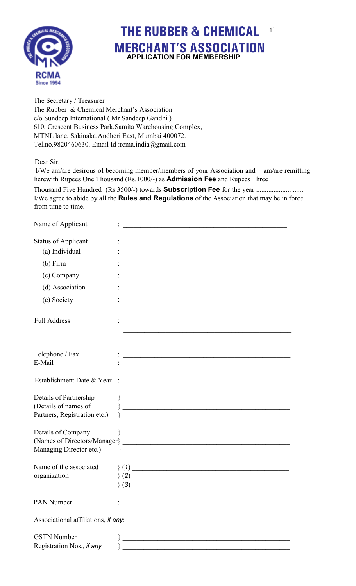

## **THE RUBBER & CHEMICAL** 1` **MERCHANT'S ASSOCIATION APPLICATION FOR MEMBERSHIP**

The Secretary / Treasurer The Rubber & Chemical Merchant's Association c/o Sundeep International ( Mr Sandeep Gandhi ) 610, Crescent Business Park,Samita Warehousing Complex, MTNL lane, Sakinaka,Andheri East, Mumbai 400072. Tel.no.9820460630. Email Id :rcma.india@gmail.com

## Dear Sir,

 $\mathbf{r}$ 

 $0 \lambda = 1$ 

 I/We am/are desirous of becoming member/members of your Association and am/are remitting herewith Rupees One Thousand (Rs.1000/-) as **Admission Fee** and Rupees Three

Thousand Five Hundred (Rs.3500/-) towards **Subscription Fee** for the year ........................... I/We agree to abide by all the **Rules and Regulations** of the Association that may be in force from time to time.

| Name of Applicant                   |                                                                                                                        |
|-------------------------------------|------------------------------------------------------------------------------------------------------------------------|
| <b>Status of Applicant</b>          |                                                                                                                        |
| (a) Individual                      |                                                                                                                        |
| $(b)$ Firm                          | <u> 1990 - Johann John Barn, mars an deus an deus Amerikaansk kommunister (</u>                                        |
| (c) Company                         | <u> 1989 - Johann Stoff, deutscher Stoff, der Stoff, der Stoff, der Stoff, der Stoff, der Stoff, der Stoff, der S</u>  |
| (d) Association                     |                                                                                                                        |
| (e) Society                         | <u> 1989 - Johann John Stein, mars ar yw i ganrif yn y brenin ar y ganrif y brenin y ganrif y ganrif y ganrif yn y</u> |
| <b>Full Address</b>                 | <u> 1989 - Johann John Harry Harry Harry Harry Harry Harry Harry Harry Harry Harry Harry Harry Harry Harry Harry H</u> |
|                                     |                                                                                                                        |
| Telephone / Fax                     |                                                                                                                        |
| E-Mail                              |                                                                                                                        |
| Establishment Date & Year           | <u> 1980 - Andrea Stadt Britain, fransk politik amerikansk politik (d. 1980)</u>                                       |
| Details of Partnership              |                                                                                                                        |
| (Details of names of                |                                                                                                                        |
| Partners, Registration etc.)        |                                                                                                                        |
| Details of Company                  | $\bigg\}$                                                                                                              |
|                                     |                                                                                                                        |
| Managing Director etc.)             |                                                                                                                        |
| Name of the associated              |                                                                                                                        |
| organization                        | $\{(1)$                                                                                                                |
|                                     | (2)                                                                                                                    |
|                                     | (3)<br><u> 1989 - Johann John Stein, marwolaethau (b. 1989)</u>                                                        |
| <b>PAN Number</b>                   | <u> 1989 - Johann John Stein, marwolaethau (b. 1989)</u>                                                               |
| Associational affiliations, if any: |                                                                                                                        |
| <b>GSTN</b> Number                  | <u> Alexandria de la contrada de la contrada de la contrada de la contrada de la contrada de la contrada de la c</u>   |
| Registration Nos., if any           | <u> 1989 - Johann Barn, mars ann an t-Amhain Aonaich an t-Aonaich an t-Aonaich an t-Aonaich an t-Aonaich ann an t-</u> |
|                                     |                                                                                                                        |